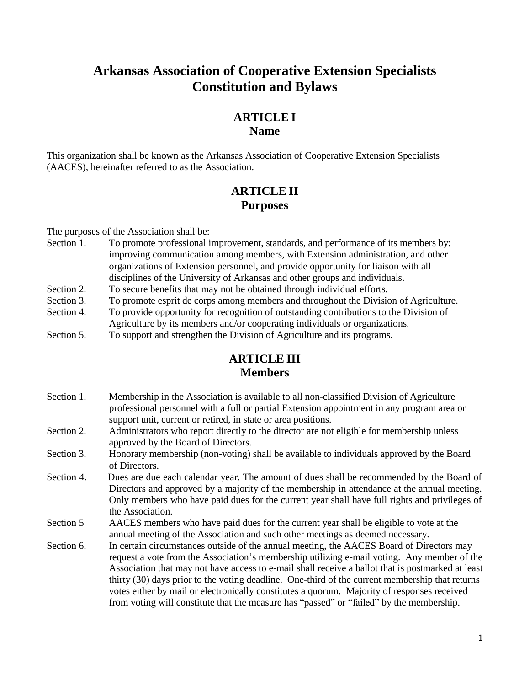# **Arkansas Association of Cooperative Extension Specialists Constitution and Bylaws**

#### **ARTICLE I Name**

This organization shall be known as the Arkansas Association of Cooperative Extension Specialists (AACES), hereinafter referred to as the Association.

## **ARTICLE II Purposes**

The purposes of the Association shall be:

- Section 1. To promote professional improvement, standards, and performance of its members by: improving communication among members, with Extension administration, and other organizations of Extension personnel, and provide opportunity for liaison with all disciplines of the University of Arkansas and other groups and individuals.
- Section 2. To secure benefits that may not be obtained through individual efforts.
- Section 3. To promote esprit de corps among members and throughout the Division of Agriculture.
- Section 4. To provide opportunity for recognition of outstanding contributions to the Division of Agriculture by its members and/or cooperating individuals or organizations.
- Section 5. To support and strengthen the Division of Agriculture and its programs.

# **ARTICLE III Members**

- Section 1. Membership in the Association is available to all non-classified Division of Agriculture professional personnel with a full or partial Extension appointment in any program area or support unit, current or retired, in state or area positions.
- Section 2. Administrators who report directly to the director are not eligible for membership unless approved by the Board of Directors.
- Section 3. Honorary membership (non-voting) shall be available to individuals approved by the Board of Directors.
- Section 4. Dues are due each calendar year. The amount of dues shall be recommended by the Board of Directors and approved by a majority of the membership in attendance at the annual meeting. Only members who have paid dues for the current year shall have full rights and privileges of the Association.
- Section 5 AACES members who have paid dues for the current year shall be eligible to vote at the annual meeting of the Association and such other meetings as deemed necessary.
- Section 6. In certain circumstances outside of the annual meeting, the AACES Board of Directors may request a vote from the Association's membership utilizing e-mail voting. Any member of the Association that may not have access to e-mail shall receive a ballot that is postmarked at least thirty (30) days prior to the voting deadline. One-third of the current membership that returns votes either by mail or electronically constitutes a quorum. Majority of responses received from voting will constitute that the measure has "passed" or "failed" by the membership.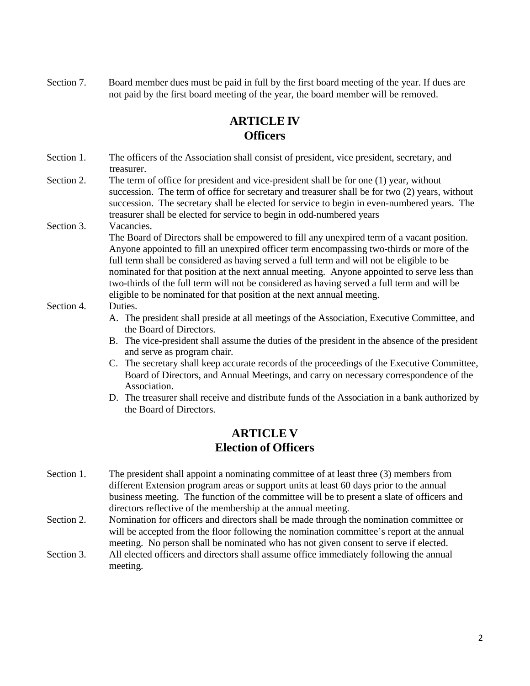Section 7. Board member dues must be paid in full by the first board meeting of the year. If dues are not paid by the first board meeting of the year, the board member will be removed.

## **ARTICLE IV Officers**

- Section 1. The officers of the Association shall consist of president, vice president, secretary, and treasurer.
- Section 2. The term of office for president and vice-president shall be for one (1) year, without succession. The term of office for secretary and treasurer shall be for two (2) years, without succession. The secretary shall be elected for service to begin in even-numbered years. The treasurer shall be elected for service to begin in odd-numbered years
- Section 3. Vacancies.

The Board of Directors shall be empowered to fill any unexpired term of a vacant position. Anyone appointed to fill an unexpired officer term encompassing two-thirds or more of the full term shall be considered as having served a full term and will not be eligible to be nominated for that position at the next annual meeting. Anyone appointed to serve less than two-thirds of the full term will not be considered as having served a full term and will be eligible to be nominated for that position at the next annual meeting.

#### Section 4. Duties.

- A. The president shall preside at all meetings of the Association, Executive Committee, and the Board of Directors.
- B. The vice-president shall assume the duties of the president in the absence of the president and serve as program chair.
- C. The secretary shall keep accurate records of the proceedings of the Executive Committee, Board of Directors, and Annual Meetings, and carry on necessary correspondence of the Association.
- D. The treasurer shall receive and distribute funds of the Association in a bank authorized by the Board of Directors.

#### **ARTICLE V Election of Officers**

- Section 1. The president shall appoint a nominating committee of at least three (3) members from different Extension program areas or support units at least 60 days prior to the annual business meeting. The function of the committee will be to present a slate of officers and directors reflective of the membership at the annual meeting.
- Section 2. Nomination for officers and directors shall be made through the nomination committee or will be accepted from the floor following the nomination committee's report at the annual meeting. No person shall be nominated who has not given consent to serve if elected.
- Section 3. All elected officers and directors shall assume office immediately following the annual meeting.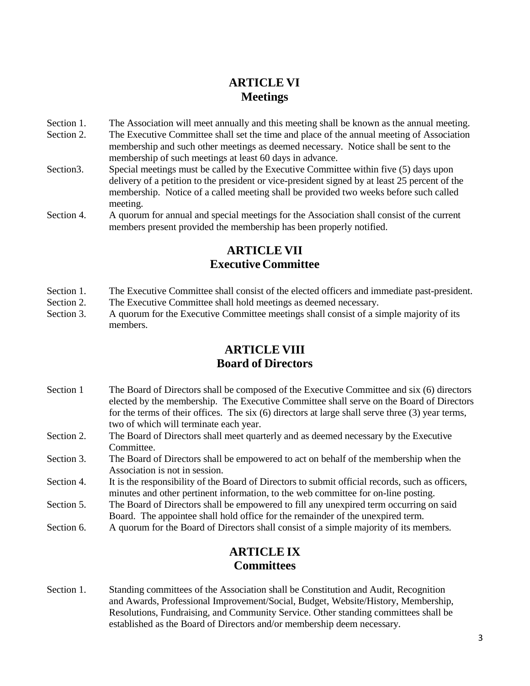# **ARTICLE VI Meetings**

- Section 1. The Association will meet annually and this meeting shall be known as the annual meeting.
- Section 2. The Executive Committee shall set the time and place of the annual meeting of Association membership and such other meetings as deemed necessary. Notice shall be sent to the membership of such meetings at least 60 days in advance.
- Section 3. Special meetings must be called by the Executive Committee within five (5) days upon delivery of a petition to the president or vice-president signed by at least 25 percent of the membership. Notice of a called meeting shall be provided two weeks before such called meeting.
- Section 4. A quorum for annual and special meetings for the Association shall consist of the current members present provided the membership has been properly notified.

# **ARTICLE VII Executive Committee**

- Section 1. The Executive Committee shall consist of the elected officers and immediate past-president.
- Section 2. The Executive Committee shall hold meetings as deemed necessary.
- Section 3. A quorum for the Executive Committee meetings shall consist of a simple majority of its members.

# **ARTICLE VIII Board of Directors**

- Section 1 The Board of Directors shall be composed of the Executive Committee and six (6) directors elected by the membership. The Executive Committee shall serve on the Board of Directors for the terms of their offices. The six (6) directors at large shall serve three (3) year terms, two of which will terminate each year.
- Section 2. The Board of Directors shall meet quarterly and as deemed necessary by the Executive Committee.
- Section 3. The Board of Directors shall be empowered to act on behalf of the membership when the Association is not in session.
- Section 4. It is the responsibility of the Board of Directors to submit official records, such as officers, minutes and other pertinent information, to the web committee for on-line posting.
- Section 5. The Board of Directors shall be empowered to fill any unexpired term occurring on said Board. The appointee shall hold office for the remainder of the unexpired term.
- Section 6. A quorum for the Board of Directors shall consist of a simple majority of its members.

## **ARTICLE IX Committees**

Section 1. Standing committees of the Association shall be Constitution and Audit, Recognition and Awards, Professional Improvement/Social, Budget, Website/History, Membership, Resolutions, Fundraising, and Community Service. Other standing committees shall be established as the Board of Directors and/or membership deem necessary.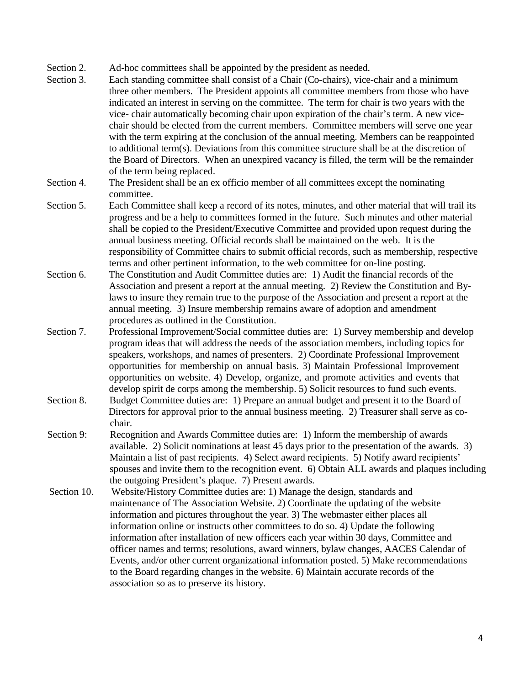Section 2. Ad-hoc committees shall be appointed by the president as needed.

Section 3. Each standing committee shall consist of a Chair (Co-chairs), vice-chair and a minimum three other members. The President appoints all committee members from those who have indicated an interest in serving on the committee. The term for chair is two years with the vice- chair automatically becoming chair upon expiration of the chair's term. A new vicechair should be elected from the current members. Committee members will serve one year with the term expiring at the conclusion of the annual meeting. Members can be reappointed to additional term(s). Deviations from this committee structure shall be at the discretion of the Board of Directors. When an unexpired vacancy is filled, the term will be the remainder of the term being replaced.

#### Section 4. The President shall be an ex officio member of all committees except the nominating committee.

- Section 5. Each Committee shall keep a record of its notes, minutes, and other material that will trail its progress and be a help to committees formed in the future. Such minutes and other material shall be copied to the President/Executive Committee and provided upon request during the annual business meeting. Official records shall be maintained on the web. It is the responsibility of Committee chairs to submit official records, such as membership, respective terms and other pertinent information, to the web committee for on-line posting.
- Section 6. The Constitution and Audit Committee duties are: 1) Audit the financial records of the Association and present a report at the annual meeting. 2) Review the Constitution and Bylaws to insure they remain true to the purpose of the Association and present a report at the annual meeting. 3) Insure membership remains aware of adoption and amendment procedures as outlined in the Constitution.
- Section 7. Professional Improvement/Social committee duties are: 1) Survey membership and develop program ideas that will address the needs of the association members, including topics for speakers, workshops, and names of presenters. 2) Coordinate Professional Improvement opportunities for membership on annual basis. 3) Maintain Professional Improvement opportunities on website. 4) Develop, organize, and promote activities and events that develop spirit de corps among the membership. 5) Solicit resources to fund such events.
- Section 8. Budget Committee duties are: 1) Prepare an annual budget and present it to the Board of Directors for approval prior to the annual business meeting. 2) Treasurer shall serve as cochair.
- Section 9: Recognition and Awards Committee duties are: 1) Inform the membership of awards available. 2) Solicit nominations at least 45 days prior to the presentation of the awards. 3) Maintain a list of past recipients. 4) Select award recipients. 5) Notify award recipients' spouses and invite them to the recognition event. 6) Obtain ALL awards and plaques including the outgoing President's plaque. 7) Present awards.
- Section 10. Website/History Committee duties are: 1) Manage the design, standards and maintenance of The Association Website. 2) Coordinate the updating of the website information and pictures throughout the year. 3) The webmaster either places all information online or instructs other committees to do so. 4) Update the following information after installation of new officers each year within 30 days, Committee and officer names and terms; resolutions, award winners, bylaw changes, AACES Calendar of Events, and/or other current organizational information posted. 5) Make recommendations to the Board regarding changes in the website. 6) Maintain accurate records of the association so as to preserve its history.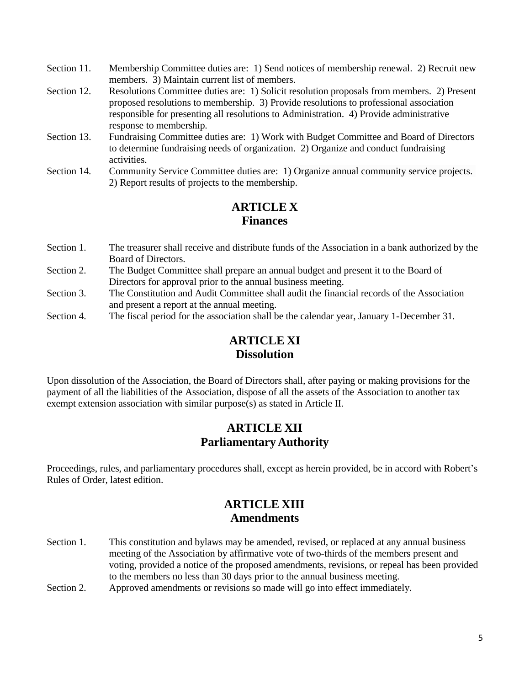- Section 11. Membership Committee duties are: 1) Send notices of membership renewal. 2) Recruit new members. 3) Maintain current list of members.
- Section 12. Resolutions Committee duties are: 1) Solicit resolution proposals from members. 2) Present proposed resolutions to membership. 3) Provide resolutions to professional association responsible for presenting all resolutions to Administration. 4) Provide administrative response to membership.
- Section 13. Fundraising Committee duties are: 1) Work with Budget Committee and Board of Directors to determine fundraising needs of organization. 2) Organize and conduct fundraising activities.
- Section 14. Community Service Committee duties are: 1) Organize annual community service projects. 2) Report results of projects to the membership.

### **ARTICLE X Finances**

- Section 1. The treasurer shall receive and distribute funds of the Association in a bank authorized by the Board of Directors.
- Section 2. The Budget Committee shall prepare an annual budget and present it to the Board of Directors for approval prior to the annual business meeting.
- Section 3. The Constitution and Audit Committee shall audit the financial records of the Association and present a report at the annual meeting.
- Section 4. The fiscal period for the association shall be the calendar year, January 1-December 31.

# **ARTICLE XI Dissolution**

Upon dissolution of the Association, the Board of Directors shall, after paying or making provisions for the payment of all the liabilities of the Association, dispose of all the assets of the Association to another tax exempt extension association with similar purpose(s) as stated in Article II.

#### **ARTICLE XII Parliamentary Authority**

Proceedings, rules, and parliamentary procedures shall, except as herein provided, be in accord with Robert's Rules of Order, latest edition.

## **ARTICLE XIII Amendments**

- Section 1. This constitution and bylaws may be amended, revised, or replaced at any annual business meeting of the Association by affirmative vote of two-thirds of the members present and voting, provided a notice of the proposed amendments, revisions, or repeal has been provided to the members no less than 30 days prior to the annual business meeting.
- Section 2. Approved amendments or revisions so made will go into effect immediately.